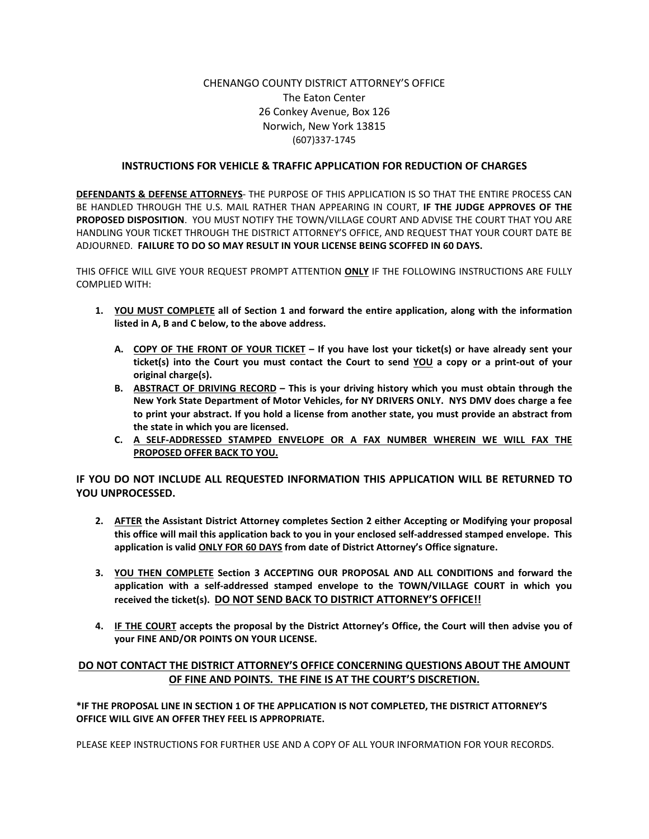## CHENANGO COUNTY DISTRICT ATTORNEY'S OFFICE The Eaton Center 26 Conkey Avenue, Box 126 Norwich, New York 13815 (607)337-1745

## **INSTRUCTIONS FOR VEHICLE & TRAFFIC APPLICATION FOR REDUCTION OF CHARGES**

**DEFENDANTS & DEFENSE ATTORNEYS**- THE PURPOSE OF THIS APPLICATION IS SO THAT THE ENTIRE PROCESS CAN BE HANDLED THROUGH THE U.S. MAIL RATHER THAN APPEARING IN COURT, **IF THE JUDGE APPROVES OF THE PROPOSED DISPOSITION**. YOU MUST NOTIFY THE TOWN/VILLAGE COURT AND ADVISE THE COURT THAT YOU ARE HANDLING YOUR TICKET THROUGH THE DISTRICT ATTORNEY'S OFFICE, AND REQUEST THAT YOUR COURT DATE BE ADJOURNED. **FAILURE TO DO SO MAY RESULT IN YOUR LICENSE BEING SCOFFED IN 60 DAYS.**

THIS OFFICE WILL GIVE YOUR REQUEST PROMPT ATTENTION **ONLY** IF THE FOLLOWING INSTRUCTIONS ARE FULLY COMPLIED WITH:

- **1. YOU MUST COMPLETE all of Section 1 and forward the entire application, along with the information listed in A, B and C below, to the above address.**
	- **A. COPY OF THE FRONT OF YOUR TICKET – If you have lost your ticket(s) or have already sent your ticket(s) into the Court you must contact the Court to send YOU a copy or a print-out of your original charge(s).**
	- **B. ABSTRACT OF DRIVING RECORD – This is your driving history which you must obtain through the New York State Department of Motor Vehicles, for NY DRIVERS ONLY. NYS DMV does charge a fee to print your abstract. If you hold a license from another state, you must provide an abstract from the state in which you are licensed.**
	- **C. A SELF-ADDRESSED STAMPED ENVELOPE OR A FAX NUMBER WHEREIN WE WILL FAX THE PROPOSED OFFER BACK TO YOU.**

**IF YOU DO NOT INCLUDE ALL REQUESTED INFORMATION THIS APPLICATION WILL BE RETURNED TO YOU UNPROCESSED.**

- **2. AFTER the Assistant District Attorney completes Section 2 either Accepting or Modifying your proposal this office will mail this application back to you in your enclosed self-addressed stamped envelope. This application is valid ONLY FOR 60 DAYS from date of District Attorney's Office signature.**
- **3. YOU THEN COMPLETE Section 3 ACCEPTING OUR PROPOSAL AND ALL CONDITIONS and forward the application with a self-addressed stamped envelope to the TOWN/VILLAGE COURT in which you received the ticket(s). DO NOT SEND BACK TO DISTRICT ATTORNEY'S OFFICE!!**
- **4. IF THE COURT accepts the proposal by the District Attorney's Office, the Court will then advise you of your FINE AND/OR POINTS ON YOUR LICENSE.**

## **DO NOT CONTACT THE DISTRICT ATTORNEY'S OFFICE CONCERNING QUESTIONS ABOUT THE AMOUNT OF FINE AND POINTS. THE FINE IS AT THE COURT'S DISCRETION.**

**\*IF THE PROPOSAL LINE IN SECTION 1 OF THE APPLICATION IS NOT COMPLETED, THE DISTRICT ATTORNEY'S OFFICE WILL GIVE AN OFFER THEY FEEL IS APPROPRIATE.** 

PLEASE KEEP INSTRUCTIONS FOR FURTHER USE AND A COPY OF ALL YOUR INFORMATION FOR YOUR RECORDS.